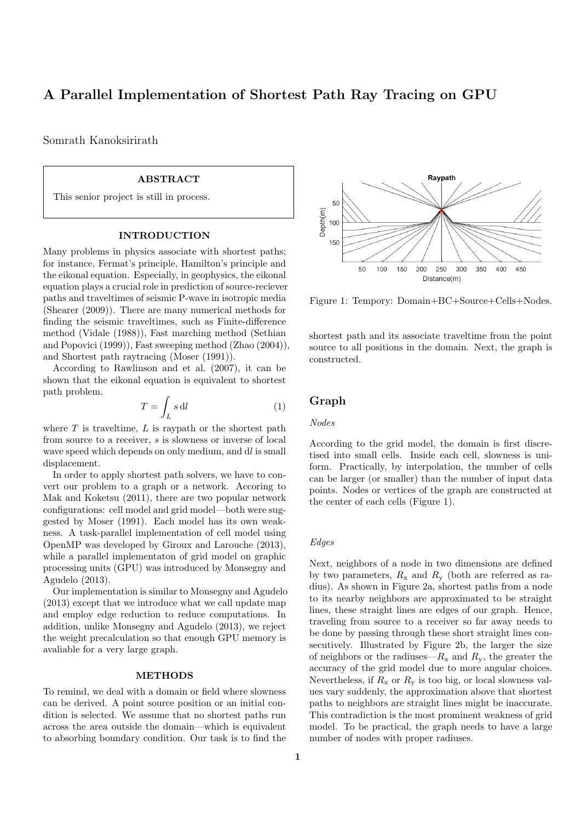# **A Parallel Implementation of Shortest Path Ray Tracing on GPU**

Somrath Kanoksirirath

# **ABSTRACT**

This senior project is still in process.

#### **INTRODUCTION**

Many problems in physics associate with shortest paths; for instance, Fermat's principle, Hamilton's principle and the eikonal equation. Especially, in geophysics, the eikonal equation plays a crucial role in prediction of source-reciever paths and traveltimes of seismic P-wave in isotropic media (Shearer (2009)). There are many numerical methods for finding the seismic traveltimes, such as Finite-difference method (Vidale (1988)), Fast marching method (Sethian and Popovici (1999)), Fast sweeping method (Zhao (2004)), and Shortest path raytracing (Moser (1991)).

According to Rawlinson and et al. (2007), it can be shown that the eikonal equation is equivalent to shortest path problem.

$$
T = \int_{L} s \, \mathrm{d}l \tag{1}
$$

where *T* is traveltime, *L* is raypath or the shortest path from source to a receiver, *s* is slowness or inverse of local wave speed which depends on only medium, and d*l* is small displacement.

In order to apply shortest path solvers, we have to convert our problem to a graph or a network. Accoring to Mak and Koketsu (2011), there are two popular network configurations: cell model and grid model—both were suggested by Moser (1991). Each model has its own weakness. A task-parallel implementation of cell model using OpenMP was developed by Giroux and Larouche (2013), while a parallel implementaton of grid model on graphic processing units (GPU) was introduced by Monsegny and Agudelo (2013).

Our implementation is similar to Monsegny and Agudelo (2013) except that we introduce what we call update map and employ edge reduction to reduce computations. In addition, unlike Monsegny and Agudelo (2013), we reject the weight precalculation so that enough GPU memory is avaliable for a very large graph.

### **METHODS**

To remind, we deal with a domain or field where slowness can be derived. A point source position or an initial condition is selected. We assume that no shortest paths run across the area outside the domain—which is equivalent to absorbing boundary condition. Our task is to find the



Figure 1: Tempory: Domain+BC+Source+Cells+Nodes.

shortest path and its associate traveltime from the point source to all positions in the domain. Next, the graph is constructed.

# **Graph**

### *Nodes*

According to the grid model, the domain is first discretised into small cells. Inside each cell, slowness is uniform. Practically, by interpolation, the number of cells can be larger (or smaller) than the number of input data points. Nodes or vertices of the graph are constructed at the center of each cells (Figure 1).

### *Edges*

Next, neighbors of a node in two dimensions are defined by two parameters,  $R_x$  and  $R_y$  (both are referred as radius). As shown in Figure 2a, shortest paths from a node to its nearby neighbors are approximated to be straight lines, these straight lines are edges of our graph. Hence, traveling from source to a receiver so far away needs to be done by passing through these short straight lines consecutively. Illustrated by Figure 2b, the larger the size of neighbors or the radiuses— $R_x$  and  $R_y$ , the greater the accuracy of the grid model due to more angular choices. Nevertheless, if  $R_x$  or  $R_y$  is too big, or local slowness values vary suddenly, the approximation above that shortest paths to neighbors are straight lines might be inaccurate. This contradiction is the most prominent weakness of grid model. To be practical, the graph needs to have a large number of nodes with proper radiuses.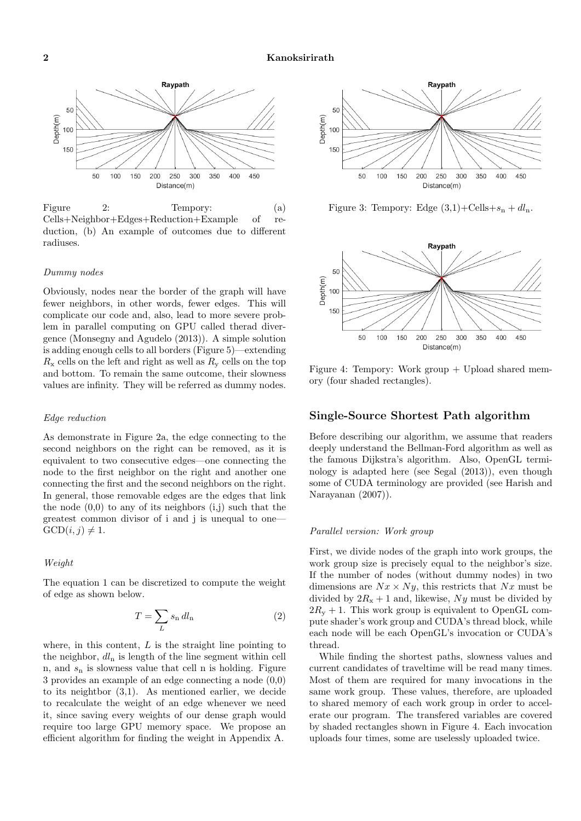

Figure 2: Tempory: (a) Cells+Neighbor+Edges+Reduction+Example of reduction, (b) An example of outcomes due to different radiuses.

#### *Dummy nodes*

Obviously, nodes near the border of the graph will have fewer neighbors, in other words, fewer edges. This will complicate our code and, also, lead to more severe problem in parallel computing on GPU called therad divergence (Monsegny and Agudelo (2013)). A simple solution is adding enough cells to all borders (Figure 5)—extending  $R_{\rm x}$  cells on the left and right as well as  $R_{\rm y}$  cells on the top and bottom. To remain the same outcome, their slowness values are infinity. They will be referred as dummy nodes.

#### *Edge reduction*

As demonstrate in Figure 2a, the edge connecting to the second neighbors on the right can be removed, as it is equivalent to two consecutive edges—one connecting the node to the first neighbor on the right and another one connecting the first and the second neighbors on the right. In general, those removable edges are the edges that link the node  $(0,0)$  to any of its neighbors  $(i,j)$  such that the greatest common divisor of i and j is unequal to one—  $GCD(i, j) \neq 1$ .

### *Weight*

The equation 1 can be discretized to compute the weight of edge as shown below.

$$
T = \sum_{L} s_{n} dl_{n}
$$
 (2)

where, in this content, *L* is the straight line pointing to the neighbor, *dl*<sup>n</sup> is length of the line segment within cell n, and *s*<sup>n</sup> is slowness value that cell n is holding. Figure 3 provides an example of an edge connecting a node (0,0) to its neightbor (3,1). As mentioned earlier, we decide to recalculate the weight of an edge whenever we need it, since saving every weights of our dense graph would require too large GPU memory space. We propose an efficient algorithm for finding the weight in Appendix A.



Figure 3: Tempory: Edge  $(3,1)+$ Cells+ $s_n + dl_n$ .



Figure 4: Tempory: Work group + Upload shared memory (four shaded rectangles).

# **Single-Source Shortest Path algorithm**

Before describing our algorithm, we assume that readers deeply understand the Bellman-Ford algorithm as well as the famous Dijkstra's algorithm. Also, OpenGL terminology is adapted here (see Segal (2013)), even though some of CUDA terminology are provided (see Harish and Narayanan (2007)).

### *Parallel version: Work group*

First, we divide nodes of the graph into work groups, the work group size is precisely equal to the neighbor's size. If the number of nodes (without dummy nodes) in two dimensions are  $Nx \times Ny$ , this restricts that  $Nx$  must be divided by  $2R_x + 1$  and, likewise, *Ny* must be divided by  $2R<sub>v</sub> + 1$ . This work group is equivalent to OpenGL compute shader's work group and CUDA's thread block, while each node will be each OpenGL's invocation or CUDA's thread.

While finding the shortest paths, slowness values and current candidates of traveltime will be read many times. Most of them are required for many invocations in the same work group. These values, therefore, are uploaded to shared memory of each work group in order to accelerate our program. The transfered variables are covered by shaded rectangles shown in Figure 4. Each invocation uploads four times, some are uselessly uploaded twice.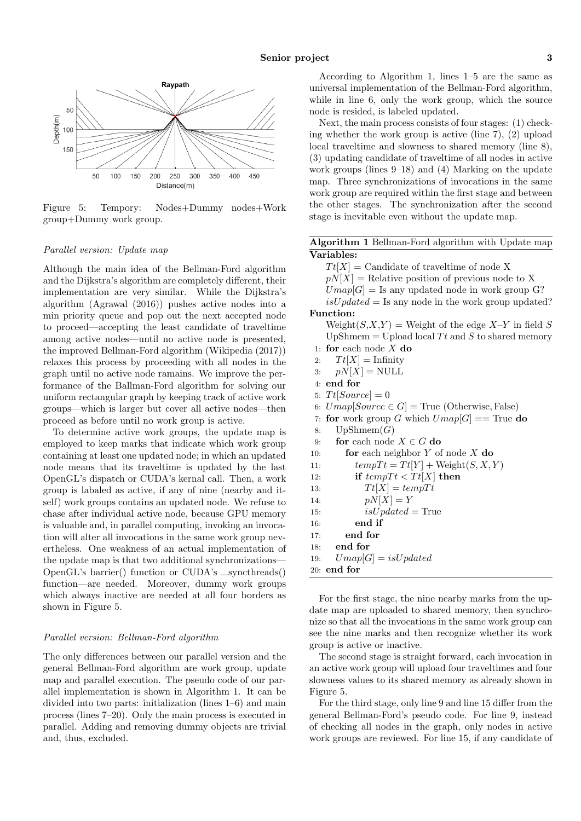

Figure 5: Tempory: Nodes+Dummy nodes+Work group+Dummy work group.

### *Parallel version: Update map*

Although the main idea of the Bellman-Ford algorithm and the Dijkstra's algorithm are completely different, their implementation are very similar. While the Dijkstra's algorithm (Agrawal (2016)) pushes active nodes into a min priority queue and pop out the next accepted node to proceed—accepting the least candidate of traveltime among active nodes—until no active node is presented, the improved Bellman-Ford algorithm (Wikipedia (2017)) relaxes this process by proceeding with all nodes in the graph until no active node ramains. We improve the performance of the Ballman-Ford algorithm for solving our uniform rectangular graph by keeping track of active work groups—which is larger but cover all active nodes—then proceed as before until no work group is active.

To determine active work groups, the update map is employed to keep marks that indicate which work group containing at least one updated node; in which an updated node means that its traveltime is updated by the last OpenGL's dispatch or CUDA's kernal call. Then, a work group is labaled as active, if any of nine (nearby and itself) work groups contains an updated node. We refuse to chase after individual active node, because GPU memory is valuable and, in parallel computing, invoking an invocation will alter all invocations in the same work group nevertheless. One weakness of an actual implementation of the update map is that two additional synchronizations— OpenGL's barrier() function or CUDA's  $\equiv$  syncthreads() function—are needed. Moreover, dummy work groups which always inactive are needed at all four borders as shown in Figure 5.

### *Parallel version: Bellman-Ford algorithm*

The only differences between our parallel version and the general Bellman-Ford algorithm are work group, update map and parallel execution. The pseudo code of our parallel implementation is shown in Algorithm 1. It can be divided into two parts: initialization (lines 1–6) and main process (lines 7–20). Only the main process is executed in parallel. Adding and removing dummy objects are trivial and, thus, excluded.

According to Algorithm 1, lines 1–5 are the same as universal implementation of the Bellman-Ford algorithm, while in line 6, only the work group, which the source node is resided, is labeled updated.

Next, the main process consists of four stages: (1) checking whether the work group is active (line 7), (2) upload local traveltime and slowness to shared memory (line 8), (3) updating candidate of traveltime of all nodes in active work groups (lines 9–18) and (4) Marking on the update map. Three synchronizations of invocations in the same work group are required within the first stage and between the other stages. The synchronization after the second stage is inevitable even without the update map.

# **Algorithm 1** Bellman-Ford algorithm with Update map **Variables:**

 $Tt[X] =$  Candidate of traveltime of node X  $pN[X] =$  Relative position of previous node to X  $Umap[G] =$  Is any updated node in work group G?  $isUpdate$  = Is any node in the work group updated? **Function:**  $Weight(S, X, Y) = Weight of the edge X-Y in field S$ UpShmem  $=$  Upload local *Tt* and *S* to shared memory 1: **for** each node *X* **do** 2:  $T_t[X] = \text{Infinity}$ 3:  $pN[X] = \text{NULL}$ 4: **end for** 5:  $Tt[Source] = 0$ 6:  $Umap[Source \in G] = True$  (Otherwise, False) 7: **for** work group *G* which  $Umap[G] ==$  True **do** 8:  $UpShmem(G)$ 9: **for** each node  $X \in G$  **do** 10: **for** each neighbor *Y* of node *X* **do** 11:  $tempTt = Tt[Y] + Weight(S, X, Y)$ 12: **if**  $tempTt < Tt[X]$  then 13:  $Tt[X] = tempTt$ 14:  $pN[X] = Y$ 15: *isU pdated* = True 16: **end if** 17: **end for** 18: **end for** 19:  $Umap[G] = isUpdate$ 20: **end for**

For the first stage, the nine nearby marks from the update map are uploaded to shared memory, then synchronize so that all the invocations in the same work group can see the nine marks and then recognize whether its work group is active or inactive.

The second stage is straight forward, each invocation in an active work group will upload four traveltimes and four slowness values to its shared memory as already shown in Figure 5.

For the third stage, only line 9 and line 15 differ from the general Bellman-Ford's pseudo code. For line 9, instead of checking all nodes in the graph, only nodes in active work groups are reviewed. For line 15, if any candidate of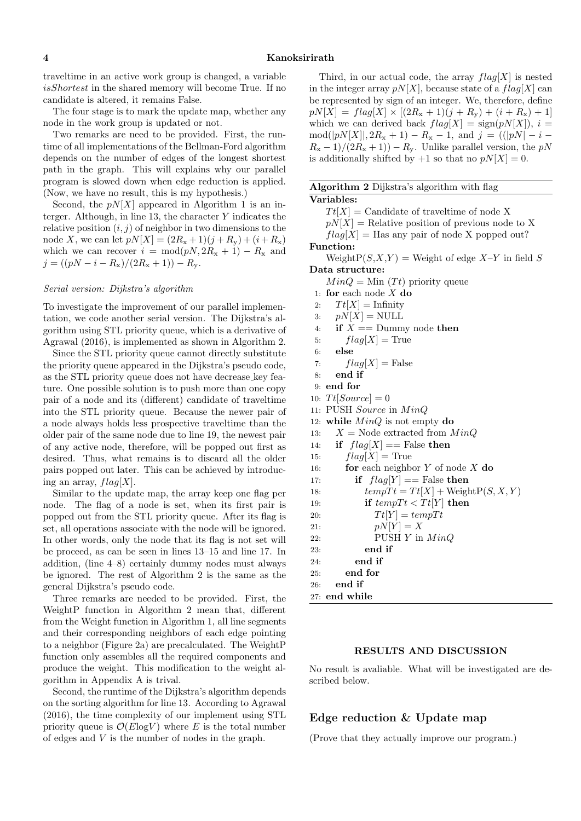traveltime in an active work group is changed, a variable *isShortest* in the shared memory will become True. If no candidate is altered, it remains False.

The four stage is to mark the update map, whether any node in the work group is updated or not.

Two remarks are need to be provided. First, the runtime of all implementations of the Bellman-Ford algorithm depends on the number of edges of the longest shortest path in the graph. This will explains why our parallel program is slowed down when edge reduction is applied. (Now, we have no result, this is my hypothesis.)

Second, the  $pN[X]$  appeared in Algorithm 1 is an interger. Although, in line 13, the character *Y* indicates the relative position  $(i, j)$  of neighbor in two dimensions to the node *X*, we can let  $pN[X] = (2R_x + 1)(j + R_y) + (i + R_x)$ which we can recover  $i = \text{mod}(pN, 2R_x + 1) - R_x$  and  $j = ((pN - i - R_x)/(2R_x + 1)) - R_y.$ 

### *Serial version: Dijkstra's algorithm*

To investigate the improvement of our parallel implementation, we code another serial version. The Dijkstra's algorithm using STL priority queue, which is a derivative of Agrawal (2016), is implemented as shown in Algorithm 2.

Since the STL priority queue cannot directly substitute the priority queue appeared in the Dijkstra's pseudo code, as the STL priority queue does not have decrease key feature. One possible solution is to push more than one copy pair of a node and its (different) candidate of traveltime into the STL priority queue. Because the newer pair of a node always holds less prospective traveltime than the older pair of the same node due to line 19, the newest pair of any active node, therefore, will be popped out first as desired. Thus, what remains is to discard all the older pairs popped out later. This can be achieved by introducing an array, *flag*[*X*].

Similar to the update map, the array keep one flag per node. The flag of a node is set, when its first pair is popped out from the STL priority queue. After its flag is set, all operations associate with the node will be ignored. In other words, only the node that its flag is not set will be proceed, as can be seen in lines 13–15 and line 17. In addition, (line 4–8) certainly dummy nodes must always be ignored. The rest of Algorithm 2 is the same as the general Dijkstra's pseudo code.

Three remarks are needed to be provided. First, the WeightP function in Algorithm 2 mean that, different from the Weight function in Algorithm 1, all line segments and their corresponding neighbors of each edge pointing to a neighbor (Figure 2a) are precalculated. The WeightP function only assembles all the required components and produce the weight. This modification to the weight algorithm in Appendix A is trival.

Second, the runtime of the Dijkstra's algorithm depends on the sorting algorithm for line 13. According to Agrawal (2016), the time complexity of our implement using STL priority queue is  $\mathcal{O}(E \log V)$  where *E* is the total number of edges and *V* is the number of nodes in the graph.

Third, in our actual code, the array *flag*[*X*] is nested in the integer array  $pN[X]$ , because state of a  $flag[X]$  can be represented by sign of an integer. We, therefore, define  $pN[X] = flag[X] \times [(2R_{x} + 1)(j + R_{y}) + (i + R_{x}) + 1]$ which we can derived back  $flag[X] = sign(pN[X])$ ,  $i =$  $\text{mod}(|pN[X]|, 2R_x + 1) - R_x - 1$ , and  $j = ((|pN| - i R_x - 1$ )/(2 $R_x + 1$ )) –  $R_y$ . Unlike parallel version, the *pN* is additionally shifted by  $+1$  so that no  $pN[X] = 0$ .

### **Algorithm 2** Dijkstra's algorithm with flag

# **Variables:**

 $Tt[X] =$  Candidate of traveltime of node X

 $pN[X] =$  Relative position of previous node to X

 $flag[X] = Has$  any pair of node X popped out?

**Function:**

Weight $P(S, X, Y) =$  Weight of edge  $X-Y$  in field *S* **Data structure:**

 $MinQ = Min(Tt)$  priority queue

1: **for** each node *X* **do**

2:  $T_t[X] =$  Infinity

- 3:  $pN[X] = \text{NULL}$
- 4: **if**  $X ==$  Dummy node **then**
- 5:  $flag[X] = True$
- 6: **else**

7: 
$$
flag[X]
$$
 = False

- 8: **end if**
- 9: **end for**
- 10:  $Tt[Source] = 0$
- 11: PUSH *Source* in *M inQ*
- 12: **while**  $MinQ$  is not empty **do**
- 13:  $X = \text{Node extracted from } \text{Min}Q$
- 14: **if**  $flag[X] == False$  **then**
- 15:  $flag[X] = True$

```
16: for each neighbor Y of node X do
```

```
17: if flag[Y] == False then
18: tempT t = T t[X] + WeightP(S, X, Y)19: if tempT t < T t[Y] then
20: Tt[Y] = tempTt21: pN[Y] = X22: PUSH Y in M inQ
23: end if
24: end if
25: end for
26: end if
```
27: **end while**

### **RESULTS AND DISCUSSION**

No result is avaliable. What will be investigated are described below.

# **Edge reduction & Update map**

(Prove that they actually improve our program.)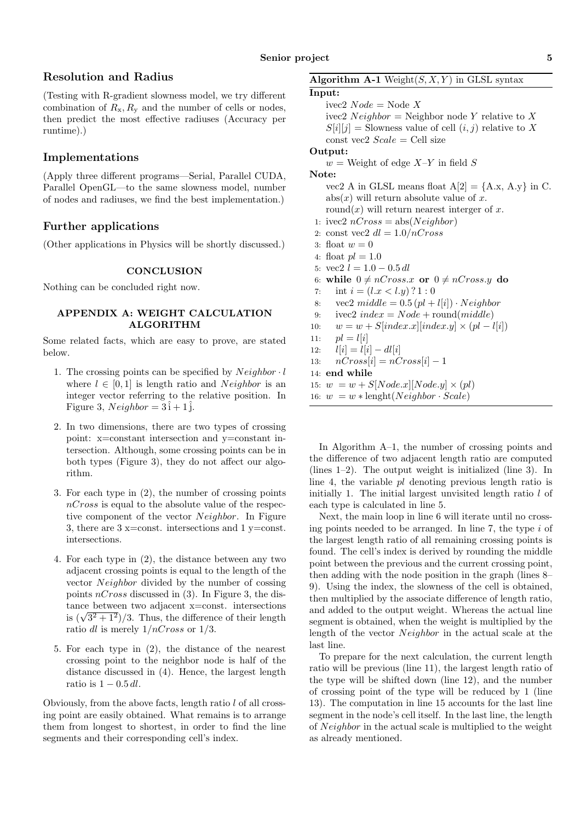# **Resolution and Radius**

(Testing with R-gradient slowness model, we try different combination of  $R_x, R_y$  and the number of cells or nodes, then predict the most effective radiuses (Accuracy per runtime).)

## **Implementations**

(Apply three different programs—Serial, Parallel CUDA, Parallel OpenGL—to the same slowness model, number of nodes and radiuses, we find the best implementation.)

# **Further applications**

(Other applications in Physics will be shortly discussed.)

### **CONCLUSION**

Nothing can be concluded right now.

### **APPENDIX A: WEIGHT CALCULATION ALGORITHM**

Some related facts, which are easy to prove, are stated below.

- 1. The crossing points can be specified by *Neighbor · l* where  $l \in [0, 1]$  is length ratio and *Neighbor* is an integer vector referring to the relative position. In Figure 3,  $Neighbour = 3i + 1j$ .
- 2. In two dimensions, there are two types of crossing point: x=constant intersection and y=constant intersection. Although, some crossing points can be in both types (Figure 3), they do not affect our algorithm.
- 3. For each type in (2), the number of crossing points *nCross* is equal to the absolute value of the respective component of the vector *Neighbor*. In Figure 3, there are  $3 \times$ =const. intersections and  $1 \times$ =const. intersections.
- 4. For each type in (2), the distance between any two adjacent crossing points is equal to the length of the vector *Neighbor* divided by the number of cossing points *nCross* discussed in (3). In Figure 3, the distance between two adjacent x=const. intersections tance between two adjacent x=const. intersections<br>is  $(\sqrt{3^2+1^2})/3$ . Thus, the difference of their length ratio *dl* is merely 1*/nCross* or 1*/*3.
- 5. For each type in (2), the distance of the nearest crossing point to the neighbor node is half of the distance discussed in (4). Hence, the largest length ratio is 1 *−* 0*.*5 *dl*.

Obviously, from the above facts, length ratio *l* of all crossing point are easily obtained. What remains is to arrange them from longest to shortest, in order to find the line segments and their corresponding cell's index.

**Algorithm A-1** Weight $(S, X, Y)$  in GLSL syntax

**Input:** ivec2 *Node* = Node *X*  $i$ ivec2 *Neighbor* = Neighbor node *Y* relative to *X*  $S[i][j] =$  Slowness value of cell  $(i, j)$  relative to X const vec2 *Scale* = Cell size **Output:**  $w =$  Weight of edge  $X-Y$  in field *S* **Note:** vec2 A in GLSL means float  $A[2] = \{A.x, A.y\}$  in C. abs(*x*) will return absolute value of *x*. round $(x)$  will return nearest interger of x. 1: ivec2  $nCross = abs(Neichbor)$ 2: const vec2 *dl* = 1*.*0*/nCross* 3: float  $w = 0$ 4: float  $pl = 1.0$ 5:  $\text{vec2 } l = 1.0 - 0.5 \, dl$ 6: while  $0 \neq nCross.x$  or  $0 \neq nCross.y$  do 7: int  $i = (l.x < l.y)$  ? 1 : 0 8: vec2  $middle = 0.5 (pl + l[i]) \cdot Neighbour$ 9:  $\text{ivec2}\ index = Node + \text{round}(middle)$ 10:  $w = w + S[index.x][index.y] \times (pl - l[i])$ 11:  $pl = l[i]$ 12:  $l[i] = l[i] - dl[i]$ 13:  $nCross[i] = nCross[i] - 1$ 14: **end while** 15:  $w = w + S[Node.x][Node.y] \times (pl)$ 16:  $w = w * \text{length}(Neighbour \cdot Scale)$ 

In Algorithm A–1, the number of crossing points and the difference of two adjacent length ratio are computed (lines 1–2). The output weight is initialized (line 3). In line 4, the variable *pl* denoting previous length ratio is initially 1. The initial largest unvisited length ratio *l* of each type is calculated in line 5.

Next, the main loop in line 6 will iterate until no crossing points needed to be arranged. In line 7, the type *i* of the largest length ratio of all remaining crossing points is found. The cell's index is derived by rounding the middle point between the previous and the current crossing point, then adding with the node position in the graph (lines 8– 9). Using the index, the slowness of the cell is obtained, then multiplied by the associate difference of length ratio, and added to the output weight. Whereas the actual line segment is obtained, when the weight is multiplied by the length of the vector *Neighbor* in the actual scale at the last line.

To prepare for the next calculation, the current length ratio will be previous (line 11), the largest length ratio of the type will be shifted down (line 12), and the number of crossing point of the type will be reduced by 1 (line 13). The computation in line 15 accounts for the last line segment in the node's cell itself. In the last line, the length of *Neighbor* in the actual scale is multiplied to the weight as already mentioned.